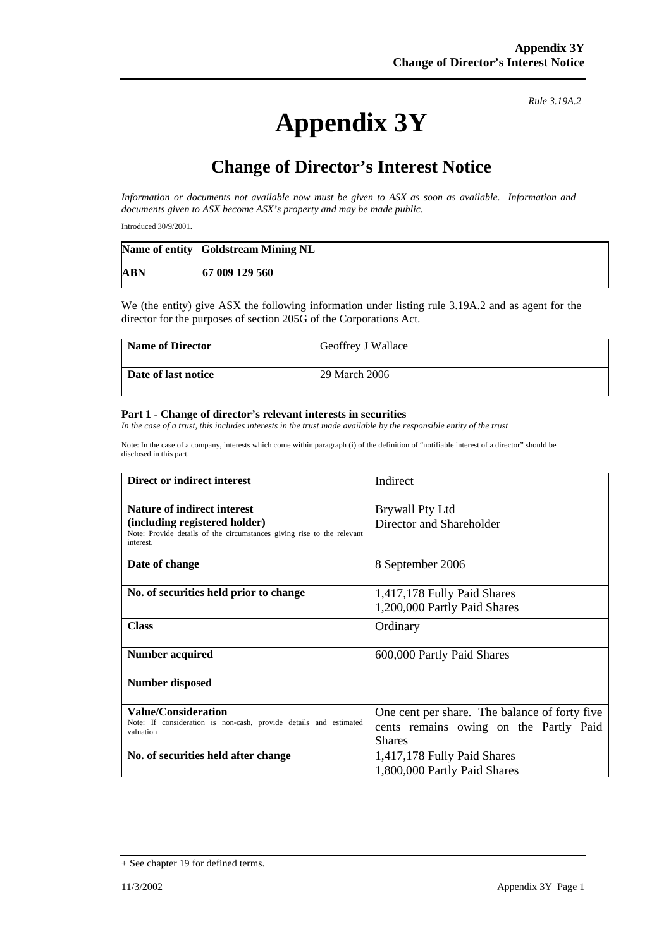## **Appendix 3Y**

*Rule 3.19A.2*

## **Change of Director's Interest Notice**

*Information or documents not available now must be given to ASX as soon as available. Information and documents given to ASX become ASX's property and may be made public.* 

Introduced 30/9/2001.

|            | Name of entity Goldstream Mining NL |
|------------|-------------------------------------|
| <b>ABN</b> | 67 009 129 560                      |

We (the entity) give ASX the following information under listing rule 3.19A.2 and as agent for the director for the purposes of section 205G of the Corporations Act.

| <b>Name of Director</b> | Geoffrey J Wallace |
|-------------------------|--------------------|
| Date of last notice     | 29 March 2006      |

## **Part 1 - Change of director's relevant interests in securities**

In the case of a trust, this includes interests in the trust made available by the responsible entity of the trust

Note: In the case of a company, interests which come within paragraph (i) of the definition of "notifiable interest of a director" should be disclosed in this part.

| <b>Direct or indirect interest</b>                                                                                                                         | Indirect                                                                                                 |
|------------------------------------------------------------------------------------------------------------------------------------------------------------|----------------------------------------------------------------------------------------------------------|
| <b>Nature of indirect interest</b><br>(including registered holder)<br>Note: Provide details of the circumstances giving rise to the relevant<br>interest. | Brywall Pty Ltd<br>Director and Shareholder                                                              |
| Date of change                                                                                                                                             | 8 September 2006                                                                                         |
| No. of securities held prior to change                                                                                                                     | 1,417,178 Fully Paid Shares<br>1,200,000 Partly Paid Shares                                              |
| <b>Class</b>                                                                                                                                               | Ordinary                                                                                                 |
| Number acquired                                                                                                                                            | 600,000 Partly Paid Shares                                                                               |
| <b>Number disposed</b>                                                                                                                                     |                                                                                                          |
| Value/Consideration<br>Note: If consideration is non-cash, provide details and estimated<br>valuation                                                      | One cent per share. The balance of forty five<br>cents remains owing on the Partly Paid<br><b>Shares</b> |
| No. of securities held after change                                                                                                                        | 1,417,178 Fully Paid Shares<br>1,800,000 Partly Paid Shares                                              |

<sup>+</sup> See chapter 19 for defined terms.